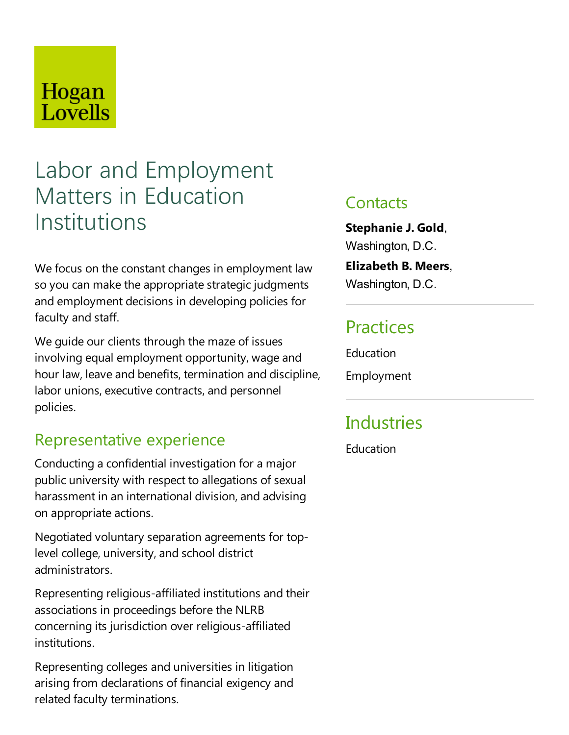# Hogan Lovells

# Labor and Employment Matters in Education Institutions

We focus on the constant changes in employment law so you can make the appropriate strategic judgments and employment decisions in developing policies for faculty and staff.

We guide our clients through the maze of issues involving equal employment opportunity, wage and hour law, leave and benefits, termination and discipline, labor unions, executive contracts, and personnel policies.

## Representative experience

Conducting aconfidential investigation for a major public university with respect to allegations of sexual harassment in an international division, and advising on appropriate actions.

Negotiated voluntary separation agreements for toplevel college, university, and school district administrators.

Representing religious-affiliated institutions and their associations in proceedings before the NLRB concerning its jurisdiction over religious-affiliated institutions.

Representing colleges and universities in litigation arising from declarations of financial exigency and related faculty terminations.

### **Contacts**

**Stephanie J. Gold**, Washington, D.C.

#### **Elizabeth B. Meers**,

Washington, D.C.

### **Practices**

**Education** 

Employment

# **Industries**

**Education**